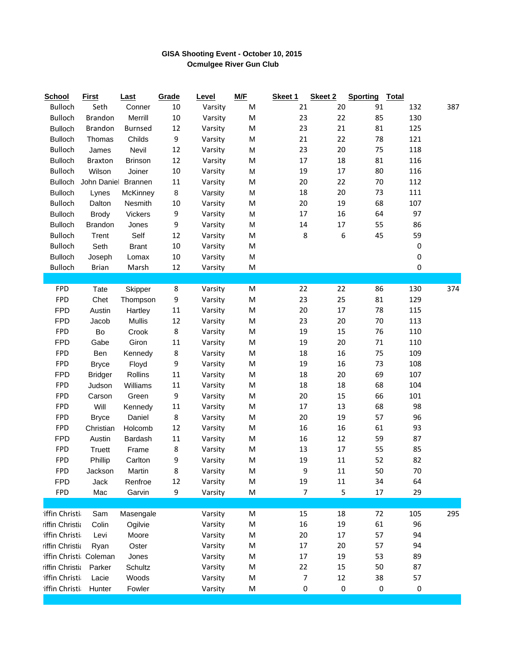## **GISA Shooting Event - October 10, 2015 Ocmulgee River Gun Club**

| <b>School</b>         | <b>First</b>   | <b>Last</b>    | Grade  | Level   | M/F       | Skeet 1        | Skeet 2 | <b>Sporting</b> | <b>Total</b> |     |
|-----------------------|----------------|----------------|--------|---------|-----------|----------------|---------|-----------------|--------------|-----|
| <b>Bulloch</b>        | Seth           | Conner         | 10     | Varsity | M         | 21             | 20      | 91              | 132          | 387 |
| <b>Bulloch</b>        | Brandon        | Merrill        | 10     | Varsity | M         | 23             | 22      | 85              | 130          |     |
| <b>Bulloch</b>        | <b>Brandon</b> | <b>Burnsed</b> | 12     | Varsity | M         | 23             | 21      | 81              | 125          |     |
| <b>Bulloch</b>        | Thomas         | Childs         | 9      | Varsity | M         | 21             | 22      | 78              | 121          |     |
| Bulloch               | James          | Nevil          | 12     | Varsity | M         | 23             | 20      | 75              | 118          |     |
| <b>Bulloch</b>        | <b>Braxton</b> | <b>Brinson</b> | 12     | Varsity | ${\sf M}$ | $17\,$         | 18      | 81              | 116          |     |
| <b>Bulloch</b>        | Wilson         | Joiner         | 10     | Varsity | M         | 19             | 17      | 80              | 116          |     |
| <b>Bulloch</b>        | John Daniel    | <b>Brannen</b> | 11     | Varsity | M         | 20             | 22      | 70              | 112          |     |
| <b>Bulloch</b>        | Lynes          | McKinney       | 8      | Varsity | M         | 18             | 20      | 73              | 111          |     |
| <b>Bulloch</b>        | Dalton         | Nesmith        | 10     | Varsity | M         | 20             | 19      | 68              | 107          |     |
| <b>Bulloch</b>        | <b>Brody</b>   | Vickers        | 9      | Varsity | M         | 17             | 16      | 64              | 97           |     |
| <b>Bulloch</b>        | <b>Brandon</b> | Jones          | 9      | Varsity | M         | 14             | 17      | 55              | 86           |     |
| <b>Bulloch</b>        | Trent          | Self           | 12     | Varsity | M         | 8              | 6       | 45              | 59           |     |
| Bulloch               | Seth           | <b>Brant</b>   | $10\,$ | Varsity | M         |                |         |                 | 0            |     |
| <b>Bulloch</b>        | Joseph         | Lomax          | 10     | Varsity | M         |                |         |                 | 0            |     |
| <b>Bulloch</b>        | <b>Brian</b>   | Marsh          | 12     | Varsity | M         |                |         |                 | 0            |     |
|                       |                |                |        |         |           |                |         |                 |              |     |
| <b>FPD</b>            | Tate           | Skipper        | 8      | Varsity | ${\sf M}$ | 22             | 22      | 86              | 130          | 374 |
| <b>FPD</b>            | Chet           | Thompson       | 9      | Varsity | M         | 23             | 25      | 81              | 129          |     |
| <b>FPD</b>            | Austin         | Hartley        | 11     | Varsity | M         | 20             | 17      | 78              | 115          |     |
| <b>FPD</b>            | Jacob          | <b>Mullis</b>  | 12     | Varsity | M         | 23             | $20\,$  | 70              | 113          |     |
| <b>FPD</b>            | Bo             | Crook          | 8      | Varsity | M         | 19             | 15      | 76              | 110          |     |
| <b>FPD</b>            | Gabe           | Giron          | 11     | Varsity | M         | 19             | 20      | $71\,$          | 110          |     |
| <b>FPD</b>            | Ben            | Kennedy        | 8      | Varsity | M         | 18             | 16      | 75              | 109          |     |
| <b>FPD</b>            | <b>Bryce</b>   | Floyd          | 9      | Varsity | M         | 19             | 16      | 73              | 108          |     |
| <b>FPD</b>            | <b>Bridger</b> | Rollins        | 11     | Varsity | ${\sf M}$ | 18             | $20\,$  | 69              | 107          |     |
| <b>FPD</b>            | Judson         | Williams       | 11     | Varsity | M         | 18             | 18      | 68              | 104          |     |
| <b>FPD</b>            | Carson         | Green          | 9      | Varsity | M         | 20             | 15      | 66              | 101          |     |
| <b>FPD</b>            | Will           | Kennedy        | 11     | Varsity | ${\sf M}$ | 17             | 13      | 68              | 98           |     |
| <b>FPD</b>            | <b>Bryce</b>   | Daniel         | 8      | Varsity | M         | 20             | 19      | 57              | 96           |     |
| <b>FPD</b>            | Christian      | Holcomb        | 12     | Varsity | M         | 16             | 16      | 61              | 93           |     |
| <b>FPD</b>            | Austin         | Bardash        | 11     | Varsity | ${\sf M}$ | 16             | 12      | 59              | 87           |     |
| <b>FPD</b>            | Truett         | Frame          | 8      | Varsity | M         | 13             | 17      | 55              | 85           |     |
| <b>FPD</b>            | Phillip        | Carlton        | 9      | Varsity | M         | 19             | 11      | 52              | 82           |     |
| <b>FPD</b>            | Jackson        | Martin         | 8      | Varsity | M         | 9              | 11      | 50              | 70           |     |
| <b>FPD</b>            | Jack           | Renfroe        | 12     | Varsity | M         | 19             | $11\,$  | 34              | 64           |     |
| <b>FPD</b>            | Mac            | Garvin         | 9      | Varsity | M         | $\overline{7}$ | 5       | 17              | 29           |     |
|                       |                |                |        |         |           |                |         |                 |              |     |
| iffin Christi         | Sam            | Masengale      |        | Varsity | M         | 15             | 18      | 72              | 105          | 295 |
| riffin Christia       | Colin          | Ogilvie        |        | Varsity | M         | 16             | 19      | 61              | 96           |     |
| iffin Christi         | Levi           | Moore          |        | Varsity | M         | 20             | 17      | 57              | 94           |     |
| riffin Christia       | Ryan           | Oster          |        | Varsity | M         | $17\,$         | 20      | 57              | 94           |     |
| iffin Christi Coleman |                | Jones          |        | Varsity | M         | 17             | 19      | 53              | 89           |     |
| riffin Christia       | Parker         | Schultz        |        | Varsity | M         | 22             | 15      | 50              | 87           |     |
| iffin Christi         |                |                |        |         |           |                |         |                 |              |     |
|                       | Lacie          | Woods          |        | Varsity | M         | 7              | 12      | 38              | 57           |     |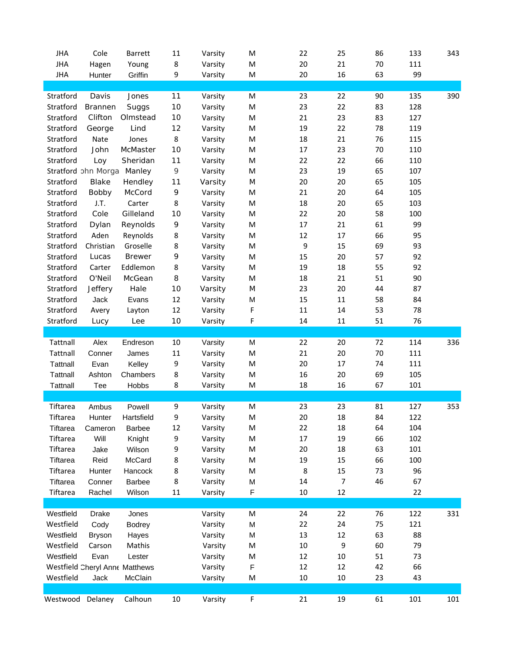| <b>JHA</b>           | Cole                       | Barrett                               | 11     | Varsity            | M           | 22            | 25     | 86     | 133 | 343 |
|----------------------|----------------------------|---------------------------------------|--------|--------------------|-------------|---------------|--------|--------|-----|-----|
| <b>JHA</b>           | Hagen                      | Young                                 | 8      | Varsity            | ${\sf M}$   | $20\,$        | 21     | 70     | 111 |     |
| <b>JHA</b>           | Hunter                     | Griffin                               | 9      | Varsity            | M           | 20            | 16     | 63     | 99  |     |
|                      |                            |                                       |        |                    |             |               |        |        |     |     |
| Stratford            | Davis                      | Jones                                 | 11     | Varsity            | M           | 23            | 22     | 90     | 135 | 390 |
| Stratford            | Brannen                    | Suggs                                 | 10     | Varsity            | M           | 23            | 22     | 83     | 128 |     |
| Stratford            | Clifton                    | Olmstead                              | 10     | Varsity            | M           | 21            | 23     | 83     | 127 |     |
| Stratford            | George                     | Lind                                  | 12     | Varsity            | M           | 19            | 22     | 78     | 119 |     |
| Stratford            | Nate                       | Jones                                 | 8      | Varsity            | M           | 18            | 21     | 76     | 115 |     |
| Stratford            | John                       | McMaster                              | 10     | Varsity            | M           | 17            | 23     | $70\,$ | 110 |     |
| Stratford            | Loy                        | Sheridan                              | 11     | Varsity            | M           | 22            | 22     | 66     | 110 |     |
|                      | Stratford ohn Morga Manley |                                       | 9      | Varsity            | M           | 23            | 19     | 65     | 107 |     |
| Stratford            | Blake                      | Hendley                               | 11     | Varsity            | M           | $20\,$        | 20     | 65     | 105 |     |
| Stratford            | Bobby                      | McCord                                | 9      | Varsity            | M           | 21            | 20     | 64     | 105 |     |
| Stratford            | J.T.                       | Carter                                | 8      | Varsity            | M           | 18            | 20     | 65     | 103 |     |
| Stratford            | Cole                       | Gilleland                             | 10     | Varsity            | M           | 22            | 20     | 58     | 100 |     |
| Stratford            | Dylan                      | Reynolds                              | 9      | Varsity            | M           | 17            | 21     | 61     | 99  |     |
| Stratford            | Aden                       | Reynolds                              | 8      | Varsity            | M           | 12            | 17     | 66     | 95  |     |
| Stratford            | Christian                  | Groselle                              | 8      | Varsity            | M           | 9             | 15     | 69     | 93  |     |
| Stratford            | Lucas                      | <b>Brewer</b>                         | 9      | Varsity            | M           | 15            | 20     | 57     | 92  |     |
| Stratford            | Carter                     | Eddlemon                              | 8      | Varsity            | M           | 19            | 18     | 55     | 92  |     |
| Stratford            | O'Neil                     | McGean                                | 8      | Varsity            | M           | 18            | 21     | 51     | 90  |     |
| Stratford            | Jeffery                    | Hale                                  | 10     | Varsity            | M           | 23            | 20     | 44     | 87  |     |
| Stratford            | Jack                       | Evans                                 | 12     | Varsity            | M           | 15            | $11\,$ | 58     | 84  |     |
| Stratford            | Avery                      | Layton                                | 12     | Varsity            | F           | $11\,$        | 14     | 53     | 78  |     |
| Stratford            | Lucy                       | Lee                                   | 10     | Varsity            | F           | 14            | $11\,$ | 51     | 76  |     |
|                      |                            |                                       |        |                    |             |               |        |        |     |     |
| Tattnall             | Alex                       | Endreson                              | 10     | Varsity            | M           | 22            | 20     | 72     | 114 | 336 |
| Tattnall             | Conner                     | James                                 | 11     | Varsity            | M           | 21            | 20     | 70     | 111 |     |
| <b>Tattnall</b>      | Evan                       | Kelley                                | 9      | Varsity            | M           | $20\,$        | 17     | 74     | 111 |     |
| Tattnall             | Ashton                     | Chambers                              | 8      | Varsity            | M           | 16            | 20     | 69     | 105 |     |
| Tattnall             | Tee                        | Hobbs                                 | 8      |                    | M           | 18            | 16     | 67     | 101 |     |
|                      |                            |                                       |        | Varsity            |             |               |        |        |     |     |
| Tiftarea             | Ambus                      | Powell                                | 9      | Varsity            | M           | 23            | 23     | 81     | 127 | 353 |
| Tiftarea             |                            | Hartsfield                            | 9      | Varsity            | M           | 20            | 18     | 84     | 122 |     |
| Tiftarea             | Hunter<br>Cameron          | <b>Barbee</b>                         | 12     | Varsity            | M           | 22            | 18     | 64     | 104 |     |
| Tiftarea             | Will                       | Knight                                |        | Varsity            | M           | 17            | 19     | 66     | 102 |     |
| Tiftarea             | Jake                       | Wilson                                | 9<br>9 | Varsity            | M           | 20            | 18     | 63     | 101 |     |
| Tiftarea             | Reid                       | McCard                                |        |                    | M           |               | 15     | 66     | 100 |     |
| Tiftarea             |                            |                                       | 8<br>8 | Varsity<br>Varsity | M           | 19<br>$\,8\,$ | 15     | 73     | 96  |     |
|                      | Hunter                     | Hancock                               |        |                    |             |               |        |        |     |     |
| Tiftarea<br>Tiftarea | Conner                     | <b>Barbee</b>                         | 8      | Varsity            | M           | 14            | 7      | 46     | 67  |     |
|                      | Rachel                     | Wilson                                | 11     | Varsity            | F           | $10\,$        | $12\,$ |        | 22  |     |
|                      |                            |                                       |        |                    |             |               |        |        |     |     |
| Westfield            | Drake                      | Jones                                 |        | Varsity            | M           | 24            | 22     | 76     | 122 | 331 |
| Westfield            | Cody                       | <b>Bodrey</b>                         |        | Varsity            | M           | 22            | 24     | 75     | 121 |     |
| Westfield            | <b>Bryson</b>              | Hayes                                 |        | Varsity            | M           | 13            | $12\,$ | 63     | 88  |     |
| Westfield            | Carson                     | Mathis                                |        | Varsity            | M           | $10\,$        | 9      | 60     | 79  |     |
| Westfield            | Evan                       | Lester                                |        | Varsity            | M           | 12            | $10\,$ | 51     | 73  |     |
|                      |                            | <b>Westfield Cheryl Anne Matthews</b> |        | Varsity            | $\mathsf F$ | $12\,$        | $12\,$ | 42     | 66  |     |
| Westfield            | Jack                       | McClain                               |        | Varsity            | M           | $10\,$        | $10\,$ | 23     | 43  |     |
|                      |                            |                                       |        |                    |             |               |        |        |     |     |
| Westwood Delaney     |                            | Calhoun                               | 10     | Varsity            | F           | 21            | 19     | 61     | 101 | 101 |